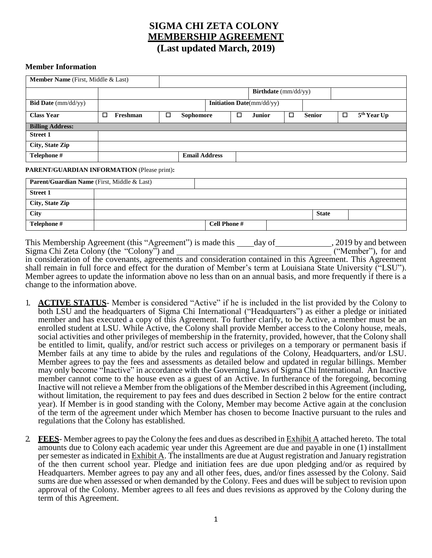# **SIGMA CHI ZETA COLONY MEMBERSHIP AGREEMENT (Last updated March, 2019)**

#### **Member Information**

| Member Name (First, Middle & Last)          |   |                                   |  |                  |  |                      |               |        |               |        |                         |
|---------------------------------------------|---|-----------------------------------|--|------------------|--|----------------------|---------------|--------|---------------|--------|-------------------------|
|                                             |   |                                   |  |                  |  | Birthdate (mm/dd/yy) |               |        |               |        |                         |
| <b>Bid Date</b> ( $mm/dd/yy$ )              |   | <b>Initiation Date</b> (mm/dd/yy) |  |                  |  |                      |               |        |               |        |                         |
| <b>Class Year</b>                           | ◻ | $\Box$<br>Freshman                |  | <b>Sophomore</b> |  | □                    | <b>Junior</b> | $\Box$ | <b>Senior</b> | $\Box$ | 5 <sup>th</sup> Year Up |
| <b>Billing Address:</b>                     |   |                                   |  |                  |  |                      |               |        |               |        |                         |
| <b>Street 1</b>                             |   |                                   |  |                  |  |                      |               |        |               |        |                         |
| City, State Zip                             |   |                                   |  |                  |  |                      |               |        |               |        |                         |
| Telephone #                                 |   | <b>Email Address</b>              |  |                  |  |                      |               |        |               |        |                         |
| PARENT/GUARDIAN INFORMATION (Please print): |   |                                   |  |                  |  |                      |               |        |               |        |                         |
| Parent/Guardian Name (First, Middle & Last) |   |                                   |  |                  |  |                      |               |        |               |        |                         |
| <b>Street 1</b>                             |   |                                   |  |                  |  |                      |               |        |               |        |                         |

| <b>Sutte</b> 1  |                     |              |  |
|-----------------|---------------------|--------------|--|
| City, State Zip |                     |              |  |
| <b>City</b>     |                     | <b>State</b> |  |
| Telephone #     | <b>Cell Phone #</b> |              |  |

This Membership Agreement (this "Agreement") is made this \_\_\_\_day of \_\_\_\_\_\_\_\_\_\_\_\_, 2019 by and between Sigma Chi Zeta Colony (the "Colony") and ("Member"), for and in consideration of the covenants, agreements and consideration contained in this Agreement. This Agreement shall remain in full force and effect for the duration of Member's term at Louisiana State University ("LSU"). Member agrees to update the information above no less than on an annual basis, and more frequently if there is a change to the information above.

- 1. **ACTIVE STATUS** Member is considered "Active" if he is included in the list provided by the Colony to both LSU and the headquarters of Sigma Chi International ("Headquarters") as either a pledge or initiated member and has executed a copy of this Agreement. To further clarify, to be Active, a member must be an enrolled student at LSU. While Active, the Colony shall provide Member access to the Colony house, meals, social activities and other privileges of membership in the fraternity, provided, however, that the Colony shall be entitled to limit, qualify, and/or restrict such access or privileges on a temporary or permanent basis if Member fails at any time to abide by the rules and regulations of the Colony, Headquarters, and/or LSU. Member agrees to pay the fees and assessments as detailed below and updated in regular billings. Member may only become "Inactive" in accordance with the Governing Laws of Sigma Chi International. An Inactive member cannot come to the house even as a guest of an Active. In furtherance of the foregoing, becoming Inactive will not relieve a Member from the obligations of the Member described in this Agreement (including, without limitation, the requirement to pay fees and dues described in Section 2 below for the entire contract year). If Member is in good standing with the Colony, Member may become Active again at the conclusion of the term of the agreement under which Member has chosen to become Inactive pursuant to the rules and regulations that the Colony has established.
- 2. **FEES** Member agreesto pay the Colony the fees and dues as described in Exhibit A attached hereto. The total amounts due to Colony each academic year under this Agreement are due and payable in one (1) installment per semester as indicated in  $Exhibit A$ . The installments are due at August registration and January registration of the then current school year. Pledge and initiation fees are due upon pledging and/or as required by Headquarters. Member agrees to pay any and all other fees, dues, and/or fines assessed by the Colony. Said sums are due when assessed or when demanded by the Colony. Fees and dues will be subject to revision upon approval of the Colony. Member agrees to all fees and dues revisions as approved by the Colony during the term of this Agreement.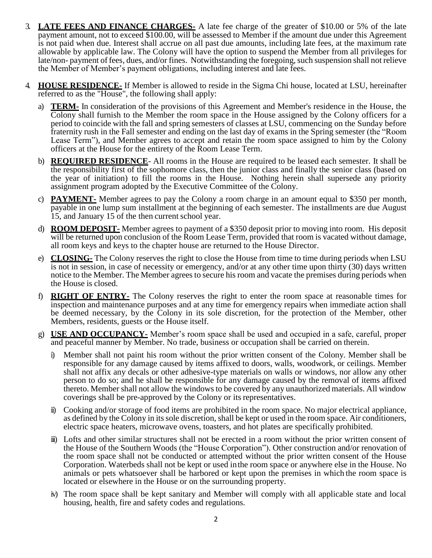- 3. **LATE FEES AND FINANCE CHARGES-** A late fee charge of the greater of \$10.00 or 5% of the late payment amount, not to exceed \$100.00, will be assessed to Member if the amount due under this Agreement is not paid when due. Interest shall accrue on all past due amounts, including late fees, at the maximum rate allowable by applicable law. The Colony will have the option to suspend the Member from all privileges for late/non- payment offees, dues, and/or fines. Notwithstanding the foregoing, such suspension shall not relieve the Member of Member's payment obligations, including interest and late fees.
- 4. **HOUSE RESIDENCE-** If Member is allowed to reside in the Sigma Chi house, located at LSU, hereinafter referred to as the "House", the following shall apply:
	- a) **TERM-** In consideration of the provisions of this Agreement and Member's residence in the House, the Colony shall furnish to the Member the room space in the House assigned by the Colony officers for a period to coincide with the fall and spring semesters of classes at LSU, commencing on the Sunday before fraternity rush in the Fall semester and ending on the last day of exams in the Spring semester (the "Room Lease Term"), and Member agrees to accept and retain the room space assigned to him by the Colony officers at the House for the entirety of the Room Lease Term.
	- b) **REQUIRED RESIDENCE** All rooms in the House are required to be leased each semester. It shall be the responsibility first of the sophomore class, then the junior class and finally the senior class (based on the year of initiation) to fill the rooms in the House. Nothing herein shall supersede any priority assignment program adopted by the Executive Committee of the Colony.
	- c) **PAYMENT-** Member agrees to pay the Colony a room charge in an amount equal to \$350 per month, payable in one lump sum installment at the beginning of each semester. The installments are due August 15, and January 15 of the then current school year.
	- d) **ROOM DEPOSIT-** Member agrees to payment of a \$350 deposit prior to moving into room. His deposit will be returned upon conclusion of the Room Lease Term, provided that room is vacated without damage, all room keys and keys to the chapter house are returned to the House Director.
	- e) **CLOSING-** The Colony reserves the right to close the House from time to time during periods when LSU is not in session, in case of necessity or emergency, and/or at any other time upon thirty (30) days written notice to the Member. The Member agrees to secure his room and vacate the premises during periods when the House is closed.
	- f) **RIGHT OF ENTRY-** The Colony reserves the right to enter the room space at reasonable times for inspection and maintenance purposes and at any time for emergency repairs when immediate action shall be deemed necessary, by the Colony in its sole discretion, for the protection of the Member, other Members, residents, guests or the House itself.
	- g) **USE AND OCCUPANCY-** Member's room space shall be used and occupied in a safe, careful, proper and peaceful manner by Member. No trade, business or occupation shall be carried on therein.
		- i) Member shall not paint his room without the prior written consent of the Colony. Member shall be responsible for any damage caused by items affixed to doors, walls, woodwork, or ceilings. Member shall not affix any decals or other adhesive-type materials on walls or windows, nor allow any other person to do so; and he shall be responsible for any damage caused by the removal of items affixed thereto. Member shall not allow the windows to be covered by any unauthorized materials. All window coverings shall be pre-approved by the Colony or its representatives.
		- ii) Cooking and/or storage of food items are prohibited in the room space. No major electrical appliance, as defined by the Colony in its sole discretion, shall be kept or used in the room space. Air conditioners, electric space heaters, microwave ovens, toasters, and hot plates are specifically prohibited.
		- iii) Lofts and other similar structures shall not be erected in a room without the prior written consent of the House of the Southern Woods (the "House Corporation"). Other construction and/or renovation of the room space shall not be conducted or attempted without the prior written consent of the House Corporation. Waterbeds shall not be kept or used inthe room space or anywhere else in the House. No animals or pets whatsoever shall be harbored or kept upon the premises in which the room space is located or elsewhere in the House or on the surrounding property.
		- iv) The room space shall be kept sanitary and Member will comply with all applicable state and local housing, health, fire and safety codes and regulations.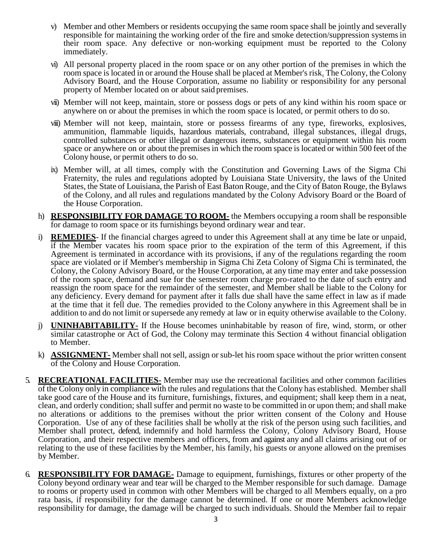- v) Member and other Members or residents occupying the same room space shall be jointly and severally responsible for maintaining the working order of the fire and smoke detection/suppression systemsin their room space. Any defective or non-working equipment must be reported to the Colony immediately.
- vi) All personal property placed in the room space or on any other portion of the premises in which the room space is located in or around the House shall be placed at Member's risk. The Colony, the Colony Advisory Board, and the House Corporation, assume no liability or responsibility for any personal property of Member located on or about said premises.
- vii) Member will not keep, maintain, store or possess dogs or pets of any kind within his room space or anywhere on or about the premises in which the room space is located, or permit others to do so.
- viii) Member will not keep, maintain, store or possess firearms of any type, fireworks, explosives, ammunition, flammable liquids, hazardous materials, contraband, illegal substances, illegal drugs, controlled substances or other illegal or dangerous items, substances or equipment within his room space or anywhere on or about the premises in which the room space is located or within 500 feet of the Colony house, or permit others to do so.
- ix) Member will, at all times, comply with the Constitution and Governing Laws of the Sigma Chi Fraternity, the rules and regulations adopted by Louisiana State University, the laws of the United States, the State of Louisiana, the Parish of East Baton Rouge, and the City of Baton Rouge, the Bylaws of the Colony, and all rules and regulations mandated by the Colony Advisory Board or the Board of the House Corporation.
- h) **RESPONSIBILITY FOR DAMAGE TO ROOM-** the Members occupying a room shall be responsible for damage to room space or its furnishings beyond ordinary wear and tear.
- i) **REMEDIES** If the financial charges agreed to under this Agreement shall at any time be late or unpaid, if the Member vacates his room space prior to the expiration of the term of this Agreement, if this Agreement is terminated in accordance with its provisions, if any of the regulations regarding the room space are violated or if Member's membership in Sigma Chi Zeta Colony of Sigma Chi is terminated, the Colony, the Colony Advisory Board, or the House Corporation, at any time may enter and take possession of the room space, demand and sue for the semester room charge pro-rated to the date of such entry and reassign the room space for the remainder of the semester, and Member shall be liable to the Colony for any deficiency. Every demand for payment after it falls due shall have the same effect in law as if made at the time that it fell due. The remedies provided to the Colony anywhere in this Agreement shall be in addition to and do not limit or supersede any remedy at law or in equity otherwise available to the Colony.
- j) **UNINHABITABILITY-** If the House becomes uninhabitable by reason of fire, wind, storm, or other similar catastrophe or Act of God, the Colony may terminate this Section 4 without financial obligation to Member.
- k) **ASSIGNMENT-** Member shall not sell, assign or sub-let his room space without the prior written consent of the Colony and House Corporation.
- 5. **RECREATIONAL FACILITIES-** Member may use the recreational facilities and other common facilities of the Colony only in compliance with the rules and regulations that the Colony has established. Membershall take good care of the House and its furniture, furnishings, fixtures, and equipment; shall keep them in a neat, clean, and orderly condition; shall suffer and permit no waste to be committed in or upon them; and shall make no alterations or additions to the premises without the prior written consent of the Colony and House Corporation. Use of any of these facilities shall be wholly at the risk of the person using such facilities, and Member shall protect, defend, indemnify and hold harmless the Colony, Colony Advisory Board, House Corporation, and their respective members and officers, from and against any and all claims arising out of or relating to the use of these facilities by the Member, his family, his guests or anyone allowed on the premises by Member.
- 6. **RESPONSIBILITY FOR DAMAGE-** Damage to equipment, furnishings, fixtures or other property of the Colony beyond ordinary wear and tear will be charged to the Member responsible for such damage. Damage to rooms or property used in common with other Members will be charged to all Members equally, on a pro rata basis, if responsibility for the damage cannot be determined. If one or more Members acknowledge responsibility for damage, the damage will be charged to such individuals. Should the Member fail to repair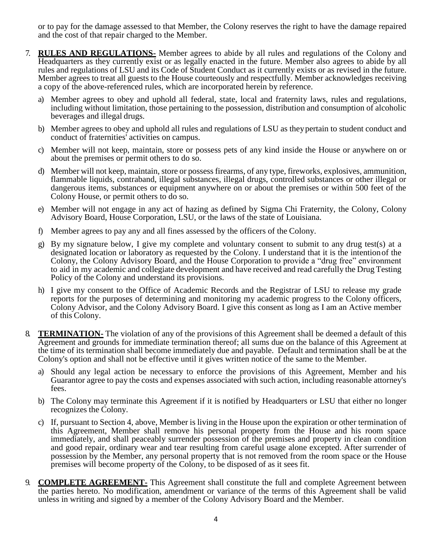or to pay for the damage assessed to that Member, the Colony reserves the right to have the damage repaired and the cost of that repair charged to the Member.

- 7. **RULES AND REGULATIONS-** Member agrees to abide by all rules and regulations of the Colony and Headquarters as they currently exist or as legally enacted in the future. Member also agrees to abide by all rules and regulations of LSU and its Code of Student Conduct as it currently exists or as revised in the future. Member agrees to treat all guests to the House courteously and respectfully. Member acknowledges receiving a copy of the above-referenced rules, which are incorporated herein by reference.
	- a) Member agrees to obey and uphold all federal, state, local and fraternity laws, rules and regulations, including without limitation, those pertaining to the possession, distribution and consumption of alcoholic beverages and illegal drugs.
	- b) Member agrees to obey and uphold all rules and regulations of LSU as theypertain to student conduct and conduct of fraternities' activities on campus.
	- c) Member will not keep, maintain, store or possess pets of any kind inside the House or anywhere on or about the premises or permit others to do so.
	- d) Member will not keep, maintain, store or possessfirearms, of any type, fireworks, explosives, ammunition, flammable liquids, contraband, illegal substances, illegal drugs, controlled substances or other illegal or dangerous items, substances or equipment anywhere on or about the premises or within 500 feet of the Colony House, or permit others to do so.
	- e) Member will not engage in any act of hazing as defined by Sigma Chi Fraternity, the Colony, Colony Advisory Board, House Corporation, LSU, or the laws of the state of Louisiana.
	- f) Member agrees to pay any and all fines assessed by the officers of the Colony.
	- g) By my signature below, I give my complete and voluntary consent to submit to any drug test(s) at a designated location or laboratory as requested by the Colony. I understand that it is the intentionof the Colony, the Colony Advisory Board, and the House Corporation to provide a "drug free" environment to aid in my academic and collegiate development and have received and read carefully the Drug Testing Policy of the Colony and understand its provisions.
	- h) I give my consent to the Office of Academic Records and the Registrar of LSU to release my grade reports for the purposes of determining and monitoring my academic progress to the Colony officers, Colony Advisor, and the Colony Advisory Board. I give this consent as long as I am an Active member of this Colony.
- 8. **TERMINATION-** The violation of any of the provisions of this Agreement shall be deemed a default of this Agreement and grounds for immediate termination thereof; all sums due on the balance of this Agreement at the time of its termination shall become immediately due and payable. Default and termination shall be at the Colony's option and shall not be effective until it gives written notice of the same to the Member.
	- a) Should any legal action be necessary to enforce the provisions of this Agreement, Member and his Guarantor agree to pay the costs and expenses associated with such action, including reasonable attorney's fees.
	- b) The Colony may terminate this Agreement if it is notified by Headquarters or LSU that either no longer recognizes the Colony.
	- c) If, pursuant to Section 4, above, Member is living in the House upon the expiration or other termination of this Agreement, Member shall remove his personal property from the House and his room space immediately, and shall peaceably surrender possession of the premises and property in clean condition and good repair, ordinary wear and tear resulting from careful usage alone excepted. After surrender of possession by the Member, any personal property that is not removed from the room space or the House premises will become property of the Colony, to be disposed of as it sees fit.
- 9. **COMPLETE AGREEMENT-** This Agreement shall constitute the full and complete Agreement between the parties hereto. No modification, amendment or variance of the terms of this Agreement shall be valid unless in writing and signed by a member of the Colony Advisory Board and the Member.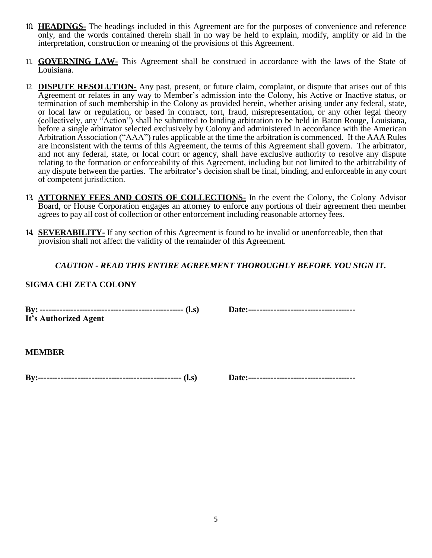- 10. **HEADINGS-** The headings included in this Agreement are for the purposes of convenience and reference only, and the words contained therein shall in no way be held to explain, modify, amplify or aid in the interpretation, construction or meaning of the provisions of this Agreement.
- 11. **GOVERNING LAW-** This Agreement shall be construed in accordance with the laws of the State of Louisiana.
- 12. **DISPUTE RESOLUTION-** Any past, present, or future claim, complaint, or dispute that arises out of this Agreement or relates in any way to Member's admission into the Colony, his Active or Inactive status, or termination of such membership in the Colony as provided herein, whether arising under any federal, state, or local law or regulation, or based in contract, tort, fraud, misrepresentation, or any other legal theory (collectively, any "Action") shall be submitted to binding arbitration to be held in Baton Rouge, Louisiana, before a single arbitrator selected exclusively by Colony and administered in accordance with the American Arbitration Association ("AAA") rules applicable at the time the arbitration is commenced. If the AAA Rules are inconsistent with the terms of this Agreement, the terms of this Agreement shall govern. The arbitrator, and not any federal, state, or local court or agency, shall have exclusive authority to resolve any dispute relating to the formation or enforceability of this Agreement, including but not limited to the arbitrability of any dispute between the parties. The arbitrator's decision shall be final, binding, and enforceable in any court of competent jurisdiction.
- 13. **ATTORNEY FEES AND COSTS OF COLLECTIONS-** In the event the Colony, the Colony Advisor Board, or House Corporation engages an attorney to enforce any portions of their agreement then member agrees to pay all cost of collection or other enforcement including reasonable attorney fees.
- 14. **SEVERABILITY-** If any section of this Agreement is found to be invalid or unenforceable, then that provision shall not affect the validity of the remainder of this Agreement.

## *CAUTION - READ THIS ENTIRE AGREEMENT THOROUGHLY BEFORE YOU SIGN IT.*

### **SIGMA CHI ZETA COLONY**

**By: --------------------------------------------------- (l.s) Date:-------------------------------------- It's Authorized Agent**

**MEMBER**

**By:--------------------------------------------------- (l.s) Date:--------------------------------------**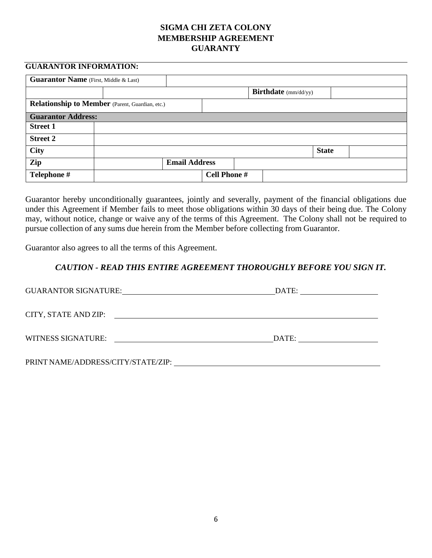## **SIGMA CHI ZETA COLONY MEMBERSHIP AGREEMENT GUARANTY**

### **GUARANTOR INFORMATION:**

| <b>Guarantor Name</b> (First, Middle & Last) |                                                        |                      |                     |  |                             |              |  |  |
|----------------------------------------------|--------------------------------------------------------|----------------------|---------------------|--|-----------------------------|--------------|--|--|
|                                              |                                                        |                      |                     |  | <b>Birthdate</b> (mm/dd/yy) |              |  |  |
|                                              | <b>Relationship to Member</b> (Parent, Guardian, etc.) |                      |                     |  |                             |              |  |  |
| <b>Guarantor Address:</b>                    |                                                        |                      |                     |  |                             |              |  |  |
| <b>Street 1</b>                              |                                                        |                      |                     |  |                             |              |  |  |
| <b>Street 2</b>                              |                                                        |                      |                     |  |                             |              |  |  |
| City                                         |                                                        |                      |                     |  |                             | <b>State</b> |  |  |
| Zip                                          |                                                        | <b>Email Address</b> |                     |  |                             |              |  |  |
| Telephone #                                  |                                                        |                      | <b>Cell Phone #</b> |  |                             |              |  |  |

Guarantor hereby unconditionally guarantees, jointly and severally, payment of the financial obligations due under this Agreement if Member fails to meet those obligations within 30 days of their being due. The Colony may, without notice, change or waive any of the terms of this Agreement. The Colony shall not be required to pursue collection of any sums due herein from the Member before collecting from Guarantor.

Guarantor also agrees to all the terms of this Agreement.

## *CAUTION - READ THIS ENTIRE AGREEMENT THOROUGHLY BEFORE YOU SIGN IT.*

| <b>GUARANTOR SIGNATURE:</b>                                                     | DATE: |
|---------------------------------------------------------------------------------|-------|
| CITY, STATE AND ZIP:<br><u> 1989 - John Amerikaanse kommunister († 1958)</u>    |       |
| WITNESS SIGNATURE:<br><u> 1980 - Johann Stein, mars an de British (b. 1980)</u> | DATE: |
| PRINT NAME/ADDRESS/CITY/STATE/ZIP:                                              |       |